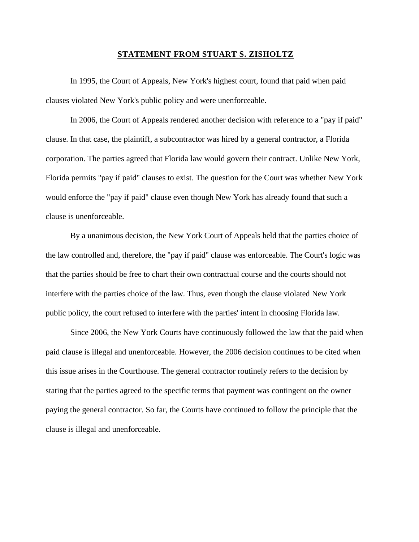## **STATEMENT FROM STUART S. ZISHOLTZ**

In 1995, the Court of Appeals, New York's highest court, found that paid when paid clauses violated New York's public policy and were unenforceable.

In 2006, the Court of Appeals rendered another decision with reference to a "pay if paid" clause. In that case, the plaintiff, a subcontractor was hired by a general contractor, a Florida corporation. The parties agreed that Florida law would govern their contract. Unlike New York, Florida permits "pay if paid" clauses to exist. The question for the Court was whether New York would enforce the "pay if paid" clause even though New York has already found that such a clause is unenforceable.

By a unanimous decision, the New York Court of Appeals held that the parties choice of the law controlled and, therefore, the "pay if paid" clause was enforceable. The Court's logic was that the parties should be free to chart their own contractual course and the courts should not interfere with the parties choice of the law. Thus, even though the clause violated New York public policy, the court refused to interfere with the parties' intent in choosing Florida law.

Since 2006, the New York Courts have continuously followed the law that the paid when paid clause is illegal and unenforceable. However, the 2006 decision continues to be cited when this issue arises in the Courthouse. The general contractor routinely refers to the decision by stating that the parties agreed to the specific terms that payment was contingent on the owner paying the general contractor. So far, the Courts have continued to follow the principle that the clause is illegal and unenforceable.